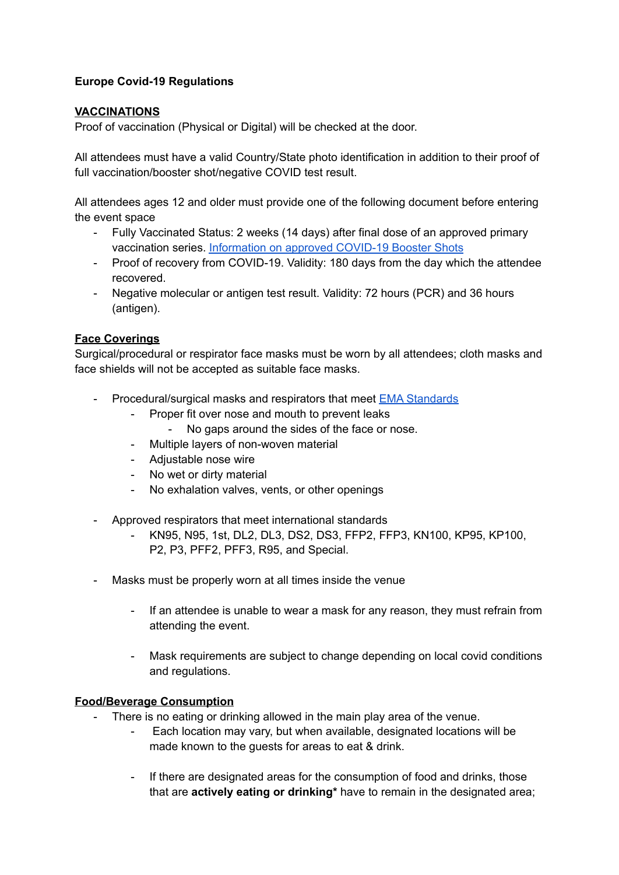# **Europe Covid-19 Regulations**

### **VACCINATIONS**

Proof of vaccination (Physical or Digital) will be checked at the door.

All attendees must have a valid Country/State photo identification in addition to their proof of full vaccination/booster shot/negative COVID test result.

All attendees ages 12 and older must provide one of the following document before entering the event space

- Fully Vaccinated Status: 2 weeks (14 days) after final dose of an approved primary vaccination series. [Information](https://www.ema.europa.eu/en/human-regulatory/overview/public-health-threats/coronavirus-disease-covid-19/treatments-vaccines/vaccines-covid-19/covid-19-vaccines-authorised) on approved COVID-19 Booster Shots
- Proof of recovery from COVID-19. Validity: 180 days from the day which the attendee recovered.
- Negative molecular or antigen test result. Validity: 72 hours (PCR) and 36 hours (antigen).

### **Face Coverings**

Surgical/procedural or respirator face masks must be worn by all attendees; cloth masks and face shields will not be accepted as suitable face masks.

- Procedural/surgical masks and respirators that meet **EMA [Standards](https://ec.europa.eu/health/system/files/2020-06/md_guidance-reg-req-med-face-masks_0.pdf)** 
	- Proper fit over nose and mouth to prevent leaks
		- No gaps around the sides of the face or nose.
	- Multiple layers of non-woven material
	- Adjustable nose wire
	- No wet or dirty material
	- No exhalation valves, vents, or other openings
- Approved respirators that meet international standards
	- KN95, N95, 1st, DL2, DL3, DS2, DS3, FFP2, FFP3, KN100, KP95, KP100, P2, P3, PFF2, PFF3, R95, and Special.
- Masks must be properly worn at all times inside the venue
	- If an attendee is unable to wear a mask for any reason, they must refrain from attending the event.
	- Mask requirements are subject to change depending on local covid conditions and regulations.

### **Food/Beverage Consumption**

- There is no eating or drinking allowed in the main play area of the venue.
	- Each location may vary, but when available, designated locations will be made known to the guests for areas to eat & drink.
	- If there are designated areas for the consumption of food and drinks, those that are **actively eating or drinking\*** have to remain in the designated area;